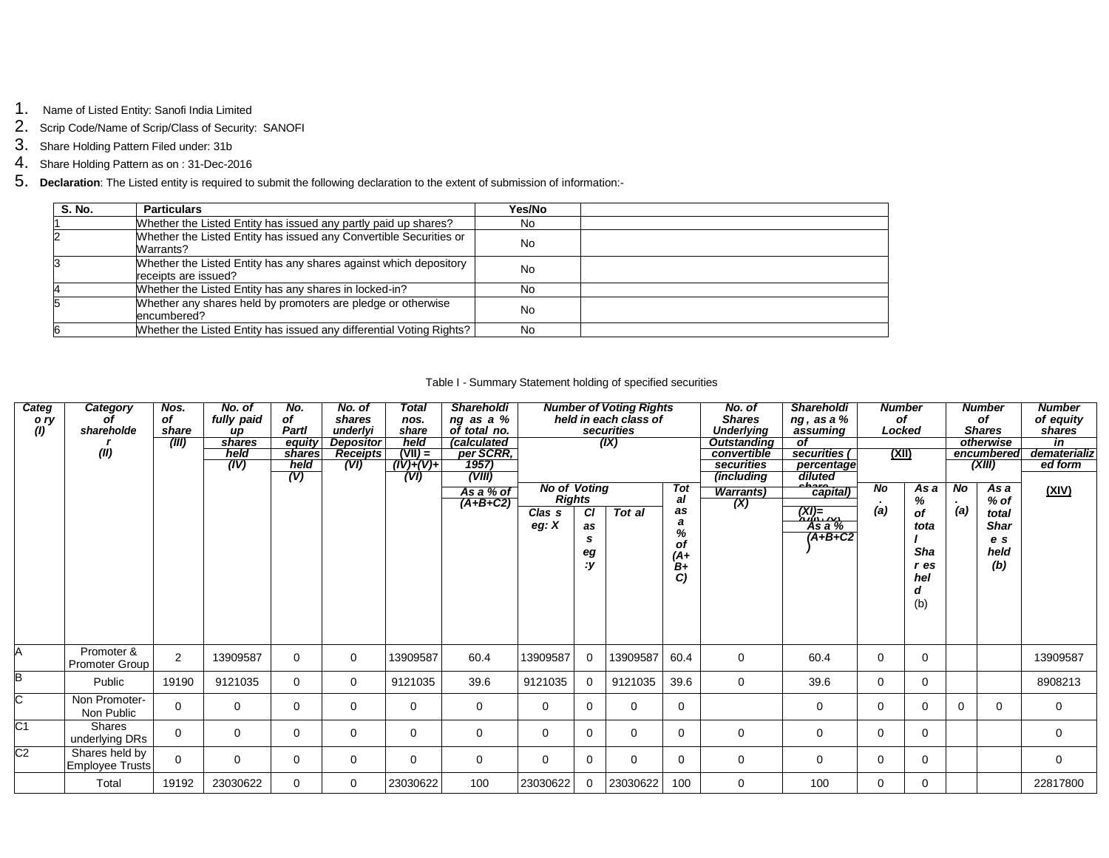- 1. Name of Listed Entity: Sanofi India Limited
- 2. Scrip Code/Name of Scrip/Class of Security: SANOFI
- 3. Share Holding Pattern Filed under: 31b
- 4. Share Holding Pattern as on : 31-Dec-2016
- 5. **Declaration**: The Listed entity is required to submit the following declaration to the extent of submission of information:-

| <b>S. No.</b> | <b>Particulars</b>                                                                        | Yes/No    |  |
|---------------|-------------------------------------------------------------------------------------------|-----------|--|
|               | Whether the Listed Entity has issued any partly paid up shares?                           | No.       |  |
|               | Whether the Listed Entity has issued any Convertible Securities or<br>Warrants?           | <b>No</b> |  |
|               | Whether the Listed Entity has any shares against which depository<br>receipts are issued? | No        |  |
|               | Whether the Listed Entity has any shares in locked-in?                                    | No        |  |
|               | Whether any shares held by promoters are pledge or otherwise<br>encumbered?               | No        |  |
|               | Whether the Listed Entity has issued any differential Voting Rights?                      | No        |  |

## Table I - Summary Statement holding of specified securities

| Categ<br>o ry<br>$\left( l\right)$ | Category<br>οf<br>shareholde<br>(II)     | Nos.<br>of<br>share<br>(III) | No. of<br>fully paid<br>up<br>shares<br>held<br>(IV) | No.<br>of<br><b>Partl</b><br>equity<br>shares<br>held<br>(V) | No. of<br>shares<br>underlyi<br><b>Depositor</b><br><b>Receipts</b><br>(VI) | Total<br>nos.<br>share<br>held<br>$(VII) =$<br>$(IV)+(V)+$<br>(VI) | <b>Shareholdi</b><br>ng as a %<br>of total no.<br><i>calculated</i><br>per SCRR,<br>1957)<br>(VIII) | <b>Number of Voting Rights</b><br>No. of<br><b>Shares</b><br>held in each class of<br>securities<br><b>Underlying</b><br>(IX)<br><b>Outstanding</b><br>convertible<br>securities<br>(including<br><b>No of Voting</b> |                                             | <b>Shareholdi</b><br>ng, as a %<br>assuming<br>οf<br>securities<br>diluted | <b>Number</b><br>of<br>Locked<br>(XII)<br>percentage<br>N <sub>o</sub> |                          | <b>Number</b><br>of<br><b>Shares</b><br>otherwise<br>encumbered<br>(XIII)<br>N <sub>o</sub><br>Asa<br>Asa |          | <b>Number</b><br>of equity<br><i>shares</i><br>in<br>dematerializ<br>ed form |               |                                                      |              |
|------------------------------------|------------------------------------------|------------------------------|------------------------------------------------------|--------------------------------------------------------------|-----------------------------------------------------------------------------|--------------------------------------------------------------------|-----------------------------------------------------------------------------------------------------|-----------------------------------------------------------------------------------------------------------------------------------------------------------------------------------------------------------------------|---------------------------------------------|----------------------------------------------------------------------------|------------------------------------------------------------------------|--------------------------|-----------------------------------------------------------------------------------------------------------|----------|------------------------------------------------------------------------------|---------------|------------------------------------------------------|--------------|
|                                    |                                          |                              |                                                      |                                                              |                                                                             |                                                                    | As a % of<br>$(A+B+C2)$                                                                             | Clas <sub>s</sub><br>eg: $X$                                                                                                                                                                                          | <b>Rights</b><br>СI<br>as<br>s<br>eg<br>: y | Tot al                                                                     | Tot<br>al<br>as<br>a<br>%<br>of<br>$(A+)$<br>B+<br>C                   | <b>Warrants</b> )<br>(X) | capital)<br>$(XI) = 0$<br>As a $%$<br>$(A+B+C2$                                                           | (a)      | %<br>οf<br>tota<br>Sha<br>r es<br>hel<br>d<br>(b)                            | $\sim$<br>(a) | $%$ of<br>total<br><b>Shar</b><br>e s<br>held<br>(b) | <u>(XIV)</u> |
| A                                  | Promoter &<br><b>Promoter Group</b>      | 2                            | 13909587                                             | $\Omega$                                                     | 0                                                                           | 13909587                                                           | 60.4                                                                                                | 13909587                                                                                                                                                                                                              | $\Omega$                                    | 13909587                                                                   | 60.4                                                                   | 0                        | 60.4                                                                                                      | $\Omega$ | $\mathbf 0$                                                                  |               |                                                      | 13909587     |
| в                                  | Public                                   | 19190                        | 9121035                                              | $\Omega$                                                     | $\mathbf 0$                                                                 | 9121035                                                            | 39.6                                                                                                | 9121035                                                                                                                                                                                                               |                                             | 9121035                                                                    | 39.6                                                                   | $\mathbf 0$              | 39.6                                                                                                      | 0        | $\Omega$                                                                     |               |                                                      | 8908213      |
| C                                  | Non Promoter-<br>Non Public              | $\Omega$                     | $\Omega$                                             | $\Omega$                                                     | $\Omega$                                                                    | $\Omega$                                                           | $\mathbf 0$                                                                                         | $\Omega$                                                                                                                                                                                                              | $\Omega$                                    | $\Omega$                                                                   | $\mathbf 0$                                                            |                          | $\mathbf 0$                                                                                               | $\Omega$ | $\Omega$                                                                     | $\Omega$      | 0                                                    | $\mathbf 0$  |
| $\overline{C}$ 1                   | <b>Shares</b><br>underlying DRs          | $\mathbf 0$                  | $\Omega$                                             | $\Omega$                                                     | $\mathbf 0$                                                                 | 0                                                                  | $\mathbf 0$                                                                                         | $\mathbf 0$                                                                                                                                                                                                           | $\Omega$                                    | $\Omega$                                                                   | $\mathbf 0$                                                            | $\mathbf 0$              | 0                                                                                                         | 0        | $\Omega$                                                                     |               |                                                      | $\mathbf 0$  |
| C <sub>2</sub>                     | Shares held by<br><b>Employee Trusts</b> | $\Omega$                     | $\Omega$                                             | $\Omega$                                                     | $\Omega$                                                                    | $\Omega$                                                           | $\mathbf 0$                                                                                         | $\Omega$                                                                                                                                                                                                              | $\Omega$                                    | $\Omega$                                                                   | $\Omega$                                                               | $\mathbf 0$              | $\Omega$                                                                                                  | $\Omega$ | $\Omega$                                                                     |               |                                                      | $\mathbf 0$  |
|                                    | Total                                    | 19192                        | 23030622                                             | $\Omega$                                                     | $\mathbf 0$                                                                 | 23030622                                                           | 100                                                                                                 | 23030622                                                                                                                                                                                                              | $\Omega$                                    | 23030622                                                                   | 100                                                                    | 0                        | 100                                                                                                       | 0        | $\Omega$                                                                     |               |                                                      | 22817800     |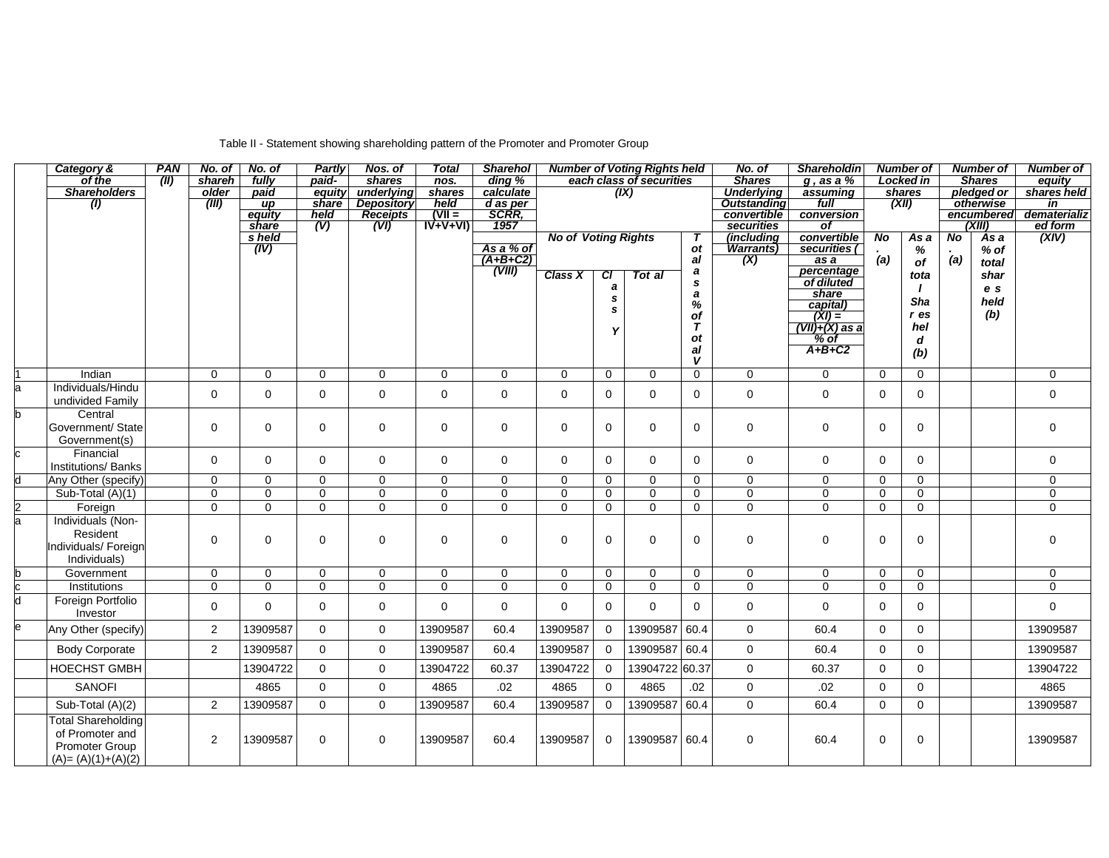# Table II - Statement showing shareholding pattern of the Promoter and Promoter Group

|                         | Category &                 | <b>PAN</b> | No. of         | No. of          | Partly      | Nos. of           | <b>Total</b>         | <b>Sharehol</b> | <b>Number of Voting Rights held</b> |             | No. of         | <b>Shareholdin</b> | <b>Number of</b>          |                          | <b>Number of</b> |              | <b>Number of</b> |                |                         |
|-------------------------|----------------------------|------------|----------------|-----------------|-------------|-------------------|----------------------|-----------------|-------------------------------------|-------------|----------------|--------------------|---------------------------|--------------------------|------------------|--------------|------------------|----------------|-------------------------|
|                         | of the                     | (III)      | shareh         | fully           | paid-       | shares            | $n$ os.              | ding %          | each class of securities            |             |                | <b>Shares</b>      | $g$ , as a $%$            |                          | Locked in        |              | <b>Shares</b>    | equity         |                         |
|                         | <b>Shareholders</b>        |            | older          | paid            | equity      | underlying        | shares               | calculate       |                                     |             | (IX)           |                    | <b>Underlying</b>         | assuming                 |                  | shares       |                  | pledged or     | shares held             |
|                         | (1)                        |            | (III)          | $\mu$           | share       | <b>Depository</b> | held                 | d as per        |                                     |             |                |                    | <b>Outstanding</b>        | full                     | (XII)            |              | otherwise        |                | in                      |
|                         |                            |            |                | equity          | held        | <b>Receipts</b>   | $(VII =$             | <b>SCRR,</b>    |                                     |             |                |                    | convertible<br>securities | conversion               |                  |              |                  | encumbered     | dematerializ<br>ed form |
|                         |                            |            |                | share<br>s held | (V)         | (WI)              | $\overline{IV+V+VI}$ | 1957            | <b>No of Voting Rights</b>          |             |                |                    | (including                | <b>of</b><br>convertible | <b>No</b>        | As a         | No               | (XIII)<br>As a | (XIV)                   |
|                         |                            |            |                | (IV)            |             |                   |                      | As a % of       |                                     |             |                | $\mathbf{r}$<br>ot | <b>Warrants</b> )         | securities (             |                  |              |                  | $%$ of         |                         |
|                         |                            |            |                |                 |             |                   |                      | $(A+B+C2)$      |                                     |             |                | al                 | (X)                       | $\overline{as} a$        | (a)              | %            | $rac{1}{a}$      |                |                         |
|                         |                            |            |                |                 |             |                   |                      | (VIII)          |                                     |             |                | a                  |                           | percentage               |                  | of           |                  | total          |                         |
|                         |                            |            |                |                 |             |                   |                      |                 | <b>Class X</b>                      | <b>CI</b>   | Tot al         | s                  |                           | of diluted               |                  | tota         |                  | shar           |                         |
|                         |                            |            |                |                 |             |                   |                      |                 |                                     | a           |                | $\boldsymbol{a}$   |                           | share                    |                  |              |                  | e s            |                         |
|                         |                            |            |                |                 |             |                   |                      |                 |                                     | s<br>s      |                | $\%$               |                           | capital)                 |                  | Sha          |                  | held           |                         |
|                         |                            |            |                |                 |             |                   |                      |                 |                                     |             |                | of                 |                           | $\overline{(XI)}$        |                  | r es         |                  | (b)            |                         |
|                         |                            |            |                |                 |             |                   |                      |                 |                                     | Υ           |                | $\tau$             |                           | (VII)+(X) as a           |                  | hel          |                  |                |                         |
|                         |                            |            |                |                 |             |                   |                      |                 |                                     |             |                | οt                 |                           | $%$ of                   |                  | d            |                  |                |                         |
|                         |                            |            |                |                 |             |                   |                      |                 |                                     |             |                | al                 |                           | $A+B+C2$                 |                  | (b)          |                  |                |                         |
|                         |                            |            |                |                 |             |                   |                      |                 |                                     |             |                | V                  |                           |                          |                  |              |                  |                |                         |
|                         | Indian                     |            | $\Omega$       | $\Omega$        | $\Omega$    | $\mathbf 0$       | $\Omega$             | 0               | $\mathbf 0$                         | $\mathbf 0$ | $\mathbf 0$    | $\mathbf 0$        | $\mathbf 0$               | $\mathbf 0$              | $\mathbf 0$      | $\Omega$     |                  |                | $\mathbf 0$             |
| a                       | Individuals/Hindu          |            | $\mathbf 0$    | $\mathbf 0$     | $\mathbf 0$ | $\mathbf 0$       | $\mathbf 0$          | $\mathbf 0$     | $\mathbf 0$                         | $\mathbf 0$ | $\mathbf 0$    | $\mathbf 0$        | $\mathbf 0$               | $\mathbf 0$              | $\mathbf 0$      | 0            |                  |                | $\mathbf 0$             |
|                         | undivided Family           |            |                |                 |             |                   |                      |                 |                                     |             |                |                    |                           |                          |                  |              |                  |                |                         |
| b                       | Central                    |            |                |                 |             |                   |                      |                 |                                     |             |                |                    |                           |                          |                  |              |                  |                |                         |
|                         | Government/ State          |            | $\Omega$       | $\Omega$        | $\Omega$    | $\mathbf 0$       | $\mathbf 0$          | $\mathbf 0$     | $\mathbf 0$                         | $\Omega$    | $\mathbf 0$    | $\Omega$           | $\Omega$                  | $\mathbf 0$              | $\mathbf 0$      | $\Omega$     |                  |                | $\mathbf 0$             |
|                         | Government(s)              |            |                |                 |             |                   |                      |                 |                                     |             |                |                    |                           |                          |                  |              |                  |                |                         |
| c                       | Financial                  |            | $\mathbf 0$    | $\Omega$        | $\mathbf 0$ | $\mathbf 0$       | $\mathbf 0$          | 0               | $\mathbf 0$                         | $\mathbf 0$ | $\mathbf 0$    | $\mathbf 0$        | $\mathbf 0$               | $\mathbf 0$              | $\mathbf 0$      | $\Omega$     |                  |                | 0                       |
|                         | <b>Institutions/ Banks</b> |            |                |                 |             |                   |                      |                 |                                     |             |                |                    |                           |                          |                  |              |                  |                |                         |
|                         | Any Other (specify)        |            | $\mathbf 0$    | $\mathbf 0$     | $\mathbf 0$ | $\mathbf 0$       | $\Omega$             | 0               | $\mathbf 0$                         | $\mathbf 0$ | $\mathbf 0$    | $\mathbf 0$        | $\mathbf 0$               | $\mathbf 0$              | $\mathbf 0$      | 0            |                  |                | $\mathbf 0$             |
|                         | Sub-Total (A)(1)           |            | $\overline{0}$ | $\mathbf 0$     | $\mathbf 0$ | $\overline{0}$    | $\mathbf 0$          | $\overline{0}$  | $\overline{0}$                      | $\mathbf 0$ | $\mathbf 0$    | $\mathbf 0$        | $\overline{0}$            | $\mathbf 0$              | $\mathbf 0$      | $\mathbf 0$  |                  |                | $\overline{0}$          |
| $\frac{2}{a}$           | Foreign                    |            | $\mathbf 0$    | $\mathbf 0$     | $\mathbf 0$ | $\mathbf 0$       | $\mathbf 0$          | $\overline{0}$  | $\mathbf 0$                         | $\mathbf 0$ | $\mathbf 0$    | $\mathbf 0$        | $\overline{0}$            | $\mathbf 0$              | $\mathbf 0$      | $\mathbf 0$  |                  |                | $\overline{0}$          |
|                         | Individuals (Non-          |            |                |                 |             |                   |                      |                 |                                     |             |                |                    |                           |                          |                  |              |                  |                |                         |
|                         | Resident                   |            |                |                 |             |                   |                      |                 |                                     |             |                |                    |                           |                          |                  |              |                  |                |                         |
|                         | Individuals/ Foreign       |            | $\Omega$       | $\Omega$        | $\mathbf 0$ | $\mathbf 0$       | $\mathbf 0$          | $\mathbf 0$     | $\mathbf 0$                         | $\mathbf 0$ | $\mathbf 0$    | $\Omega$           | 0                         | $\mathbf 0$              | $\mathbf 0$      | $\Omega$     |                  |                | $\Omega$                |
|                         | Individuals)               |            |                |                 |             |                   |                      |                 |                                     |             |                |                    |                           |                          |                  |              |                  |                |                         |
|                         | Government                 |            | $\mathbf 0$    | $\mathbf 0$     | $\mathbf 0$ | $\pmb{0}$         | $\mathbf 0$          | $\mathsf 0$     | $\mathsf{O}\xspace$                 | $\mathbf 0$ | $\mathbf 0$    | $\mathbf 0$        | $\mathbf 0$               | $\mathbf 0$              | $\mathbf 0$      | $\mathbf 0$  |                  |                | $\mathbf 0$             |
| b<br>c                  | Institutions               |            | $\overline{0}$ | $\overline{0}$  | $\mathbf 0$ | $\overline{0}$    | $\mathbf 0$          | $\overline{0}$  | $\overline{0}$                      | $\mathbf 0$ | $\overline{0}$ | $\mathbf 0$        | $\overline{0}$            | $\mathbf 0$              | $\mathbf 0$      | $\mathbf 0$  |                  |                | $\overline{0}$          |
| $\overline{\mathsf{d}}$ | Foreign Portfolio          |            |                |                 |             |                   |                      |                 |                                     |             |                |                    |                           |                          |                  |              |                  |                |                         |
|                         | Investor                   |            | $\Omega$       | $\Omega$        | $\Omega$    | $\mathbf 0$       | $\Omega$             | $\mathbf 0$     | $\mathbf 0$                         | $\mathbf 0$ | $\mathbf 0$    | $\Omega$           | $\mathbf 0$               | $\mathbf 0$              | $\mathbf 0$      | $\Omega$     |                  |                | $\mathbf 0$             |
| e                       | Any Other (specify)        |            | $\overline{2}$ | 13909587        | $\Omega$    | $\Omega$          | 13909587             | 60.4            | 13909587                            | $\Omega$    | 13909587       | 60.4               | $\Omega$                  | 60.4                     | $\Omega$         | $\Omega$     |                  |                | 13909587                |
|                         |                            |            |                |                 |             |                   |                      |                 |                                     |             |                |                    |                           |                          |                  |              |                  |                |                         |
|                         | <b>Body Corporate</b>      |            | 2              | 13909587        | $\Omega$    | 0                 | 13909587             | 60.4            | 13909587                            | $\mathbf 0$ | 13909587       | 60.4               | $\mathbf 0$               | 60.4                     | $\mathbf 0$      | $\Omega$     |                  |                | 13909587                |
|                         | <b>HOECHST GMBH</b>        |            |                | 13904722        | $\mathbf 0$ | $\mathbf 0$       | 13904722             | 60.37           | 13904722                            | $\mathbf 0$ | 13904722       | 60.37              | $\mathbf 0$               | 60.37                    | $\mathbf 0$      | $\mathbf 0$  |                  |                | 13904722                |
|                         | <b>SANOFI</b>              |            |                | 4865            | $\Omega$    | $\mathbf 0$       | 4865                 | .02             | 4865                                | $\mathbf 0$ | 4865           | .02                | $\mathsf{O}$              | .02                      | $\mathbf 0$      | $\Omega$     |                  |                | 4865                    |
|                         | Sub-Total (A)(2)           |            | 2              | 13909587        | $\mathbf 0$ | $\mathbf 0$       | 13909587             | 60.4            | 13909587                            | $\mathbf 0$ | 13909587       | 60.4               | $\mathbf 0$               | 60.4                     | $\mathbf 0$      | $\mathbf{0}$ |                  |                | 13909587                |
|                         | <b>Total Shareholding</b>  |            |                |                 |             |                   |                      |                 |                                     |             |                |                    |                           |                          |                  |              |                  |                |                         |
|                         | of Promoter and            |            |                |                 |             |                   |                      |                 |                                     |             |                |                    |                           |                          |                  |              |                  |                |                         |
|                         | Promoter Group             |            | $\overline{2}$ | 13909587        | $\mathbf 0$ | 0                 | 13909587             | 60.4            | 13909587                            | $\mathbf 0$ | 13909587       | 60.4               | 0                         | 60.4                     | $\mathbf 0$      | 0            |                  |                | 13909587                |
|                         | $(A) = (A)(1)+(A)(2)$      |            |                |                 |             |                   |                      |                 |                                     |             |                |                    |                           |                          |                  |              |                  |                |                         |
|                         |                            |            |                |                 |             |                   |                      |                 |                                     |             |                |                    |                           |                          |                  |              |                  |                |                         |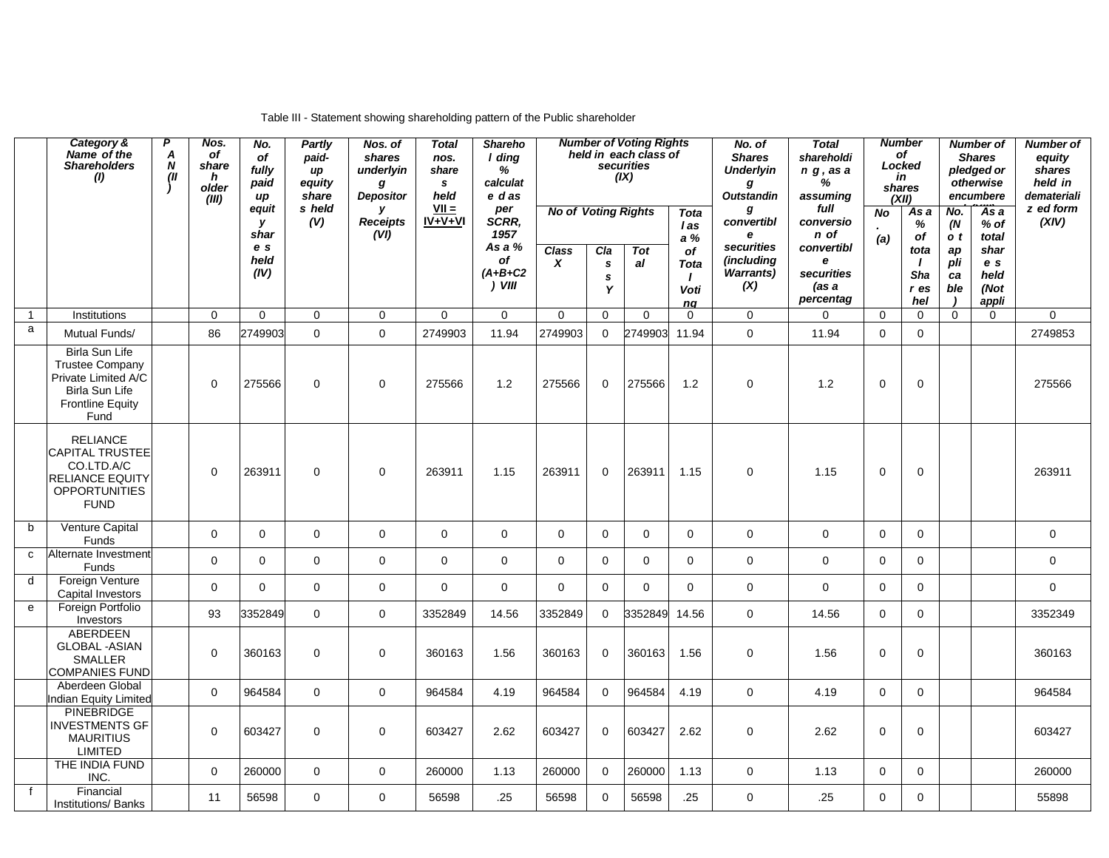|              | Category &<br>Name of the<br><b>Shareholders</b><br>(1)                                                                            | P<br>Α<br>$\boldsymbol{N}$<br>(II | Nos.<br>of<br>share<br>h<br>older<br>(III) | No.<br>of<br>fully<br>paid<br>иp<br>equit | <b>Partly</b><br>paid-<br>иp<br>equity<br>share<br>s held | Nos. of<br>shares<br>underlyin<br>g<br><b>Depositor</b><br>у | <b>Total</b><br>nos.<br>share<br>s.<br>held<br>$VII =$ | <b>Shareho</b><br>I ding<br>%<br>calculat<br>e das<br>per<br>SCRR, | <b>Number of Voting Rights</b><br>held in each class of<br>securities<br>(IX)<br><b>No of Voting Rights</b><br>Tota |                    |           | No. of<br><b>Shares</b><br><b>Underlyin</b><br>g<br><b>Outstandin</b><br>g | <b>Number</b><br>of<br>Locked<br>in<br>shares<br>(XII)<br>As a<br>No    |                                                                          | <b>Number of</b><br><b>Shares</b><br>pledged or<br>otherwise<br>encumbere<br>'As a<br>No. |                                              | <b>Number of</b><br>equity<br>shares<br>held in<br>demateriali<br>z ed form |                                                         |              |
|--------------|------------------------------------------------------------------------------------------------------------------------------------|-----------------------------------|--------------------------------------------|-------------------------------------------|-----------------------------------------------------------|--------------------------------------------------------------|--------------------------------------------------------|--------------------------------------------------------------------|---------------------------------------------------------------------------------------------------------------------|--------------------|-----------|----------------------------------------------------------------------------|-------------------------------------------------------------------------|--------------------------------------------------------------------------|-------------------------------------------------------------------------------------------|----------------------------------------------|-----------------------------------------------------------------------------|---------------------------------------------------------|--------------|
|              |                                                                                                                                    |                                   |                                            | y<br>shar<br>e s<br>held<br>(IV)          | (V)                                                       | <b>Receipts</b><br>(VI)                                      | $IV + V + VI$                                          | 1957<br>As a %<br>of<br>$(A+B+C2$<br>) VIII                        | <b>Class</b><br>X                                                                                                   | Cla<br>s<br>s<br>Y | Tot<br>al | l as<br>a%<br>of<br><b>Tota</b><br>Voti<br>nq                              | convertibl<br>e<br>securities<br>(including<br><b>Warrants</b> )<br>(X) | conversio<br>n of<br>convertibl<br>e<br>securities<br>(as a<br>percentag | (a)                                                                                       | %<br>of<br>tota<br><b>Sha</b><br>r es<br>hel | (N)<br>o t<br>ap<br>pli<br>ca<br>ble                                        | $%$ of<br>total<br>shar<br>e s<br>held<br>(Not<br>appli | (XIV)        |
| $\mathbf{1}$ | Institutions                                                                                                                       |                                   | $\mathbf 0$                                | $\mathbf 0$                               | 0                                                         | 0                                                            | 0                                                      | 0                                                                  | $\mathbf 0$                                                                                                         | $\mathbf 0$        | 0         | $\mathbf 0$                                                                | 0                                                                       | 0                                                                        | $\mathbf 0$                                                                               | 0                                            | $\mathbf 0$                                                                 | $\mathbf{0}$                                            | $\mathbf 0$  |
| a            | Mutual Funds/                                                                                                                      |                                   | 86                                         | 2749903                                   | $\mathbf 0$                                               | $\mathbf 0$                                                  | 2749903                                                | 11.94                                                              | 2749903                                                                                                             | $\mathbf 0$        | 2749903   | 11.94                                                                      | $\mathbf 0$                                                             | 11.94                                                                    | $\mathsf{O}\xspace$                                                                       | $\mathbf 0$                                  |                                                                             |                                                         | 2749853      |
|              | <b>Birla Sun Life</b><br><b>Trustee Company</b><br>Private Limited A/C<br><b>Birla Sun Life</b><br><b>Frontline Equity</b><br>Fund |                                   | $\Omega$                                   | 275566                                    | $\Omega$                                                  | $\mathbf 0$                                                  | 275566                                                 | 1.2                                                                | 275566                                                                                                              | $\Omega$           | 275566    | 1.2                                                                        | $\Omega$                                                                | 1.2                                                                      | $\mathbf 0$                                                                               | $\Omega$                                     |                                                                             |                                                         | 275566       |
|              | <b>RELIANCE</b><br><b>CAPITAL TRUSTEE</b><br>CO.LTD.A/C<br><b>RELIANCE EQUITY</b><br><b>OPPORTUNITIES</b><br><b>FUND</b>           |                                   | $\Omega$                                   | 263911                                    | $\Omega$                                                  | $\Omega$                                                     | 263911                                                 | 1.15                                                               | 263911                                                                                                              | $\Omega$           | 263911    | 1.15                                                                       | $\Omega$                                                                | 1.15                                                                     | $\Omega$                                                                                  | $\Omega$                                     |                                                                             |                                                         | 263911       |
| b            | Venture Capital<br>Funds                                                                                                           |                                   | $\Omega$                                   | $\mathbf 0$                               | $\mathbf 0$                                               | $\mathbf 0$                                                  | $\mathbf 0$                                            | 0                                                                  | $\mathbf 0$                                                                                                         | $\mathbf 0$        | $\Omega$  | 0                                                                          | $\mathbf 0$                                                             | 0                                                                        | $\mathbf 0$                                                                               | $\Omega$                                     |                                                                             |                                                         | $\mathbf 0$  |
| $\mathbf{C}$ | Alternate Investment<br>Funds                                                                                                      |                                   | $\Omega$                                   | $\mathbf{0}$                              | $\mathbf 0$                                               | $\mathbf 0$                                                  | $\mathbf 0$                                            | $\mathsf 0$                                                        | $\Omega$                                                                                                            | $\mathbf 0$        | $\Omega$  | $\mathbf 0$                                                                | $\mathsf{O}\xspace$                                                     | $\mathbf 0$                                                              | $\mathsf{O}\xspace$                                                                       | $\Omega$                                     |                                                                             |                                                         | $\mathbf{0}$ |
| d            | Foreign Venture<br>Capital Investors                                                                                               |                                   | $\Omega$                                   | $\mathbf{0}$                              | $\Omega$                                                  | $\Omega$                                                     | $\Omega$                                               | $\Omega$                                                           | $\Omega$                                                                                                            | $\Omega$           | $\Omega$  | $\Omega$                                                                   | $\mathbf 0$                                                             | $\mathbf 0$                                                              | $\mathbf 0$                                                                               | $\Omega$                                     |                                                                             |                                                         | $\Omega$     |
| $\mathbf{e}$ | Foreign Portfolio<br>Investors                                                                                                     |                                   | 93                                         | 3352849                                   | $\mathbf 0$                                               | $\Omega$                                                     | 3352849                                                | 14.56                                                              | 3352849                                                                                                             | $\mathbf 0$        | 3352849   | 14.56                                                                      | $\mathbf 0$                                                             | 14.56                                                                    | $\mathbf 0$                                                                               | $\Omega$                                     |                                                                             |                                                         | 3352349      |
|              | ABERDEEN<br><b>GLOBAL - ASIAN</b><br><b>SMALLER</b><br><b>COMPANIES FUND</b>                                                       |                                   | $\Omega$                                   | 360163                                    | $\Omega$                                                  | $\mathbf 0$                                                  | 360163                                                 | 1.56                                                               | 360163                                                                                                              | $\mathbf 0$        | 360163    | 1.56                                                                       | $\Omega$                                                                | 1.56                                                                     | $\mathbf 0$                                                                               | $\Omega$                                     |                                                                             |                                                         | 360163       |
|              | Aberdeen Global<br>Indian Equity Limited                                                                                           |                                   | $\Omega$                                   | 964584                                    | $\mathbf 0$                                               | $\mathbf{0}$                                                 | 964584                                                 | 4.19                                                               | 964584                                                                                                              | $\mathbf 0$        | 964584    | 4.19                                                                       | $\mathbf 0$                                                             | 4.19                                                                     | $\mathbf{0}$                                                                              | $\Omega$                                     |                                                                             |                                                         | 964584       |
|              | <b>PINEBRIDGE</b><br><b>INVESTMENTS GF</b><br><b>MAURITIUS</b><br>LIMITED                                                          |                                   | $\Omega$                                   | 603427                                    | 0                                                         | $\mathbf 0$                                                  | 603427                                                 | 2.62                                                               | 603427                                                                                                              | $\mathbf 0$        | 603427    | 2.62                                                                       | $\mathbf 0$                                                             | 2.62                                                                     | $\mathbf 0$                                                                               | $\Omega$                                     |                                                                             |                                                         | 603427       |
|              | THE INDIA FUND<br>INC.                                                                                                             |                                   | $\Omega$                                   | 260000                                    | $\Omega$                                                  | $\mathbf 0$                                                  | 260000                                                 | 1.13                                                               | 260000                                                                                                              | $\Omega$           | 260000    | 1.13                                                                       | $\mathbf 0$                                                             | 1.13                                                                     | $\mathbf 0$                                                                               | $\Omega$                                     |                                                                             |                                                         | 260000       |
| $\mathsf{f}$ | Financial<br><b>Institutions/ Banks</b>                                                                                            |                                   | 11                                         | 56598                                     | $\mathbf 0$                                               | $\mathbf 0$                                                  | 56598                                                  | .25                                                                | 56598                                                                                                               | $\mathbf 0$        | 56598     | .25                                                                        | 0                                                                       | .25                                                                      | $\mathbf 0$                                                                               | 0                                            |                                                                             |                                                         | 55898        |

## Table III - Statement showing shareholding pattern of the Public shareholder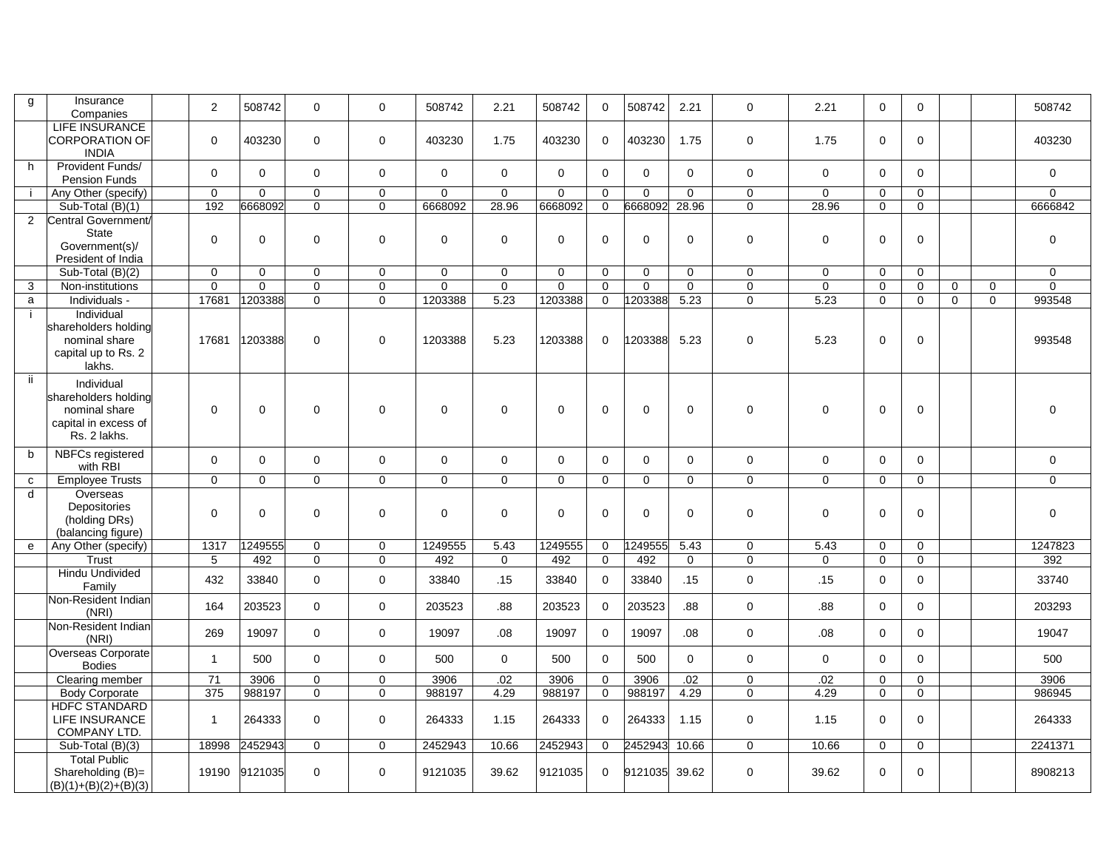| g              | Insurance<br>Companies                                                                      | 2            | 508742      | $\Omega$     | $\Omega$     | 508742   | 2.21             | 508742      | $\Omega$     | 508742   | 2.21        | $\Omega$     | 2.21             | $\mathbf{0}$ | $\Omega$     |             |             | 508742      |
|----------------|---------------------------------------------------------------------------------------------|--------------|-------------|--------------|--------------|----------|------------------|-------------|--------------|----------|-------------|--------------|------------------|--------------|--------------|-------------|-------------|-------------|
|                | <b>LIFE INSURANCE</b><br><b>CORPORATION OF</b><br><b>INDIA</b>                              | $\mathbf 0$  | 403230      | $\mathbf 0$  | $\mathbf 0$  | 403230   | 1.75             | 403230      | $\mathbf{0}$ | 403230   | 1.75        | 0            | 1.75             | $\mathbf 0$  | $\mathbf 0$  |             |             | 403230      |
| h              | Provident Funds/<br><b>Pension Funds</b>                                                    | $\Omega$     | $\Omega$    | $\Omega$     | $\mathbf 0$  | $\Omega$ | $\mathbf 0$      | $\Omega$    | $\mathbf 0$  | $\Omega$ | $\Omega$    | $\mathbf 0$  | $\mathbf 0$      | $\mathbf 0$  | $\mathbf 0$  |             |             | $\mathbf 0$ |
|                | Any Other (specify)                                                                         | $\mathbf 0$  | $\Omega$    | $\Omega$     | $\Omega$     | $\Omega$ | $\mathbf 0$      | $\Omega$    | $\Omega$     | $\Omega$ | $\Omega$    | $\mathbf 0$  | $\mathbf 0$      | $\mathbf 0$  | $\Omega$     |             |             | 0           |
|                | Sub-Total (B)(1)                                                                            | 192          | 6668092     | $\Omega$     | $\mathbf 0$  | 6668092  | 28.96            | 6668092     | $\mathbf{0}$ | 6668092  | 28.96       | $\mathbf 0$  | 28.96            | $\mathbf 0$  | $\mathbf 0$  |             |             | 6666842     |
| $\overline{2}$ | Central Government/<br><b>State</b><br>Government(s)/<br>President of India                 | $\Omega$     | $\mathbf 0$ | $\Omega$     | $\mathbf 0$  | $\Omega$ | $\mathbf 0$      | $\Omega$    | $\mathbf 0$  | $\Omega$ | $\Omega$    | $\mathbf 0$  | $\mathbf 0$      | $\mathbf 0$  | $\Omega$     |             |             | $\mathbf 0$ |
|                | Sub-Total (B)(2)                                                                            | $\Omega$     | $\Omega$    | $\Omega$     | $\Omega$     | $\Omega$ | $\Omega$         | $\Omega$    | $\Omega$     | $\Omega$ | $\Omega$    | $\Omega$     | $\mathbf 0$      | $\Omega$     | $\Omega$     |             |             | 0           |
| 3              | Non-institutions                                                                            | $\Omega$     | $\mathbf 0$ | $\mathbf 0$  | $\mathbf 0$  | $\Omega$ | $\mathbf 0$      | $\mathbf 0$ | $\Omega$     | 0        | $\mathbf 0$ | $\mathbf 0$  | $\mathbf 0$      | $\mathbf 0$  | $\mathbf 0$  | $\mathbf 0$ | $\mathbf 0$ | 0           |
| a              | Individuals -                                                                               | 17681        | 1203388     | $\mathbf 0$  | $\mathbf 0$  | 1203388  | 5.23             | 1203388     | $\mathbf 0$  | 1203388  | 5.23        | $\mathbf 0$  | 5.23             | $\mathbf 0$  | $\mathbf 0$  | $\mathbf 0$ | $\mathbf 0$ | 993548      |
|                | Individual<br>shareholders holding<br>nominal share<br>capital up to Rs. 2<br>lakhs.        | 17681        | 1203388     | $\mathbf 0$  | $\mathbf 0$  | 1203388  | 5.23             | 1203388     | $\mathbf 0$  | 203388   | 5.23        | $\mathbf 0$  | 5.23             | $\mathbf 0$  | $\mathbf 0$  |             |             | 993548      |
| -ii            | Individual<br>shareholders holding<br>nominal share<br>capital in excess of<br>Rs. 2 lakhs. | $\Omega$     | $\mathbf 0$ | $\Omega$     | $\mathbf 0$  | 0        | $\mathbf 0$      | $\Omega$    | 0            | $\Omega$ | $\Omega$    | 0            | 0                | 0            | $\Omega$     |             |             | $\mathbf 0$ |
| b              | NBFCs registered<br>with RBI                                                                | $\Omega$     | $\mathbf 0$ | $\Omega$     | $\mathbf 0$  | $\Omega$ | $\mathbf 0$      | $\Omega$    | $\Omega$     | $\Omega$ | $\Omega$    | $\mathbf 0$  | $\mathbf 0$      | $\mathbf 0$  | $\Omega$     |             |             | 0           |
| $\mathtt{C}$   | <b>Employee Trusts</b>                                                                      | $\Omega$     | $\Omega$    | $\Omega$     | $\Omega$     | $\Omega$ | $\Omega$         | $\Omega$    | $\Omega$     | $\Omega$ | $\Omega$    | $\Omega$     | $\mathbf 0$      | $\mathbf 0$  | $\Omega$     |             |             | 0           |
| d              | Overseas<br>Depositories<br>(holding DRs)<br>(balancing figure)                             | $\Omega$     | $\Omega$    | $\Omega$     | $\Omega$     | $\Omega$ | $\Omega$         | $\Omega$    | $\Omega$     | $\Omega$ | $\Omega$    | $\Omega$     | $\Omega$         | $\Omega$     | $\Omega$     |             |             | $\Omega$    |
| $\mathbf{e}$   | Any Other (specify)                                                                         | 1317         | 249555      | $\Omega$     | $\Omega$     | 1249555  | 5.43             | 1249555     | $\Omega$     | 249555   | 5.43        | 0            | 5.43             | $\mathbf 0$  | $\Omega$     |             |             | 1247823     |
|                | Trust                                                                                       | 5            | 492         | $\Omega$     | $\Omega$     | 492      | $\mathbf 0$      | 492         | $\Omega$     | 492      | $\Omega$    | $\mathbf 0$  | $\mathbf 0$      | $\mathbf 0$  | $\Omega$     |             |             | 392         |
|                | Hindu Undivided<br>Family                                                                   | 432          | 33840       | $\Omega$     | $\Omega$     | 33840    | .15              | 33840       | $\Omega$     | 33840    | .15         | $\mathbf 0$  | .15              | $\mathbf 0$  | $\mathbf 0$  |             |             | 33740       |
|                | Non-Resident Indian<br>(NRI)                                                                | 164          | 203523      | $\mathbf 0$  | $\mathbf 0$  | 203523   | .88              | 203523      | $\mathbf 0$  | 203523   | .88         | $\mathbf 0$  | .88              | $\mathbf 0$  | $\mathbf 0$  |             |             | 203293      |
|                | Non-Resident Indian<br>(NRI)                                                                | 269          | 19097       | $\Omega$     | $\mathbf 0$  | 19097    | .08 <sub>0</sub> | 19097       | $\mathbf 0$  | 19097    | .08         | $\mathbf 0$  | .08 <sub>0</sub> | $\mathbf 0$  | $\mathbf 0$  |             |             | 19047       |
|                | Overseas Corporate<br><b>Bodies</b>                                                         | $\mathbf{1}$ | 500         | $\Omega$     | $\mathbf{0}$ | 500      | $\Omega$         | 500         | $\Omega$     | 500      | $\Omega$    | $\mathbf 0$  | $\mathbf 0$      | $\mathbf{0}$ | $\Omega$     |             |             | 500         |
|                | Clearing member                                                                             | 71           | 3906        | $\mathbf 0$  | $\mathbf 0$  | 3906     | .02              | 3906        | $\mathbf 0$  | 3906     | .02         | $\mathbf 0$  | .02              | $\mathbf 0$  | $\mathbf 0$  |             |             | 3906        |
|                | <b>Body Corporate</b>                                                                       | 375          | 988197      | $\Omega$     | $\Omega$     | 988197   | 4.29             | 988197      | $\mathbf 0$  | 988197   | 4.29        | $\Omega$     | 4.29             | $\Omega$     | $\Omega$     |             |             | 986945      |
|                | <b>HDFC STANDARD</b><br>LIFE INSURANCE<br>COMPANY LTD.                                      | $\mathbf{1}$ | 264333      | $\mathbf 0$  | $\mathbf 0$  | 264333   | 1.15             | 264333      | $\mathbf{0}$ | 264333   | 1.15        | $\mathbf 0$  | 1.15             | $\mathbf 0$  | $\mathbf 0$  |             |             | 264333      |
|                | Sub-Total (B)(3)                                                                            | 18998        | 2452943     | $\mathbf{0}$ | $\mathbf 0$  | 2452943  | 10.66            | 2452943     | $\mathbf 0$  | 2452943  | 10.66       | $\mathbf{0}$ | 10.66            | $\mathbf 0$  | $\mathbf{0}$ |             |             | 2241371     |
|                | <b>Total Public</b><br>Shareholding (B)=<br>$(B)(1)+(B)(2)+(B)(3)$                          | 19190        | 9121035     | $\mathbf 0$  | $\mathbf 0$  | 9121035  | 39.62            | 9121035     | $\mathbf 0$  | 9121035  | 39.62       | $\mathbf 0$  | 39.62            | $\mathbf 0$  | $\mathbf 0$  |             |             | 8908213     |